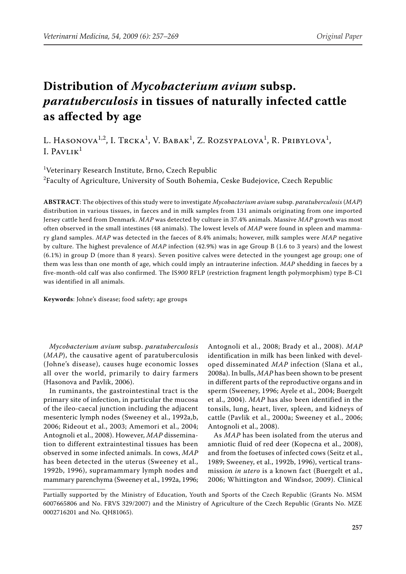# **Distribution of** *Mycobacterium avium* **subsp.**  *paratuberculosis* **in tissues of naturally infected cattle as affected by age**

L. Hasonova<sup>1,2</sup>, I. Trcka<sup>1</sup>, V. Babak<sup>1</sup>, Z. Rozsypalova<sup>1</sup>, R. Pribylova<sup>1</sup>, I.  $PAVLIK<sup>1</sup>$ 

1 Veterinary Research Institute, Brno, Czech Republic  $^{2}$ Faculty of Agriculture, University of South Bohemia, Ceske Budejovice, Czech Republic

**ABSTRACT**: The objectives of this study were to investigate *Mycobacterium avium* subsp. *paratuberculosis* (*MAP*) distribution in various tissues, in faeces and in milk samples from 131 animals originating from one imported Jersey cattle herd from Denmark. *MAP* was detected by culture in 37.4% animals. Massive *MAP* growth was most often observed in the small intestines (48 animals). The lowest levels of *MAP* were found in spleen and mammary gland samples. *MAP* was detected in the faeces of 8.4% animals; however, milk samples were *MAP* negative by culture. The highest prevalence of *MAP* infection (42.9%) was in age Group B (1.6 to 3 years) and the lowest (6.1%) in group D (more than 8 years). Seven positive calves were detected in the youngest age group; one of them was less than one month of age, which could imply an intrauterine infection. *MAP* shedding in faeces by a five-month-old calf was also confirmed. The IS*900* RFLP (restriction fragment length polymorphism) type B-C1 was identified in all animals.

**Keywords**: Johne's disease; food safety; age groups

*Mycobacterium avium* subsp. *paratuberculosis* (*MAP*), the causative agent of paratuberculosis (Johne's disease), causes huge economic losses all over the world, primarily to dairy farmers (Hasonova and Pavlik, 2006).

In ruminants, the gastrointestinal tract is the primary site of infection, in particular the mucosa of the ileo-caecal junction including the adjacent mesenteric lymph nodes (Sweeney et al., 1992a,b, 2006; Rideout et al., 2003; Amemori et al., 2004; Antognoli et al., 2008). However, *MAP* dissemination to different extraintestinal tissues has been observed in some infected animals. In cows, *MAP* has been detected in the uterus (Sweeney et al., 1992b, 1996), supramammary lymph nodes and mammary parenchyma (Sweeney et al., 1992a, 1996;

Antognoli et al., 2008; Brady et al., 2008). *MAP* identification in milk has been linked with developed disseminated *MAP* infection (Slana et al., 2008a). In bulls, *MAP* has been shown to be present in different parts of the reproductive organs and in sperm (Sweeney, 1996; Ayele et al., 2004; Buergelt et al., 2004). *MAP* has also been identified in the tonsils, lung, heart, liver, spleen, and kidneys of cattle (Pavlik et al., 2000a; Sweeney et al., 2006; Antognoli et al., 2008).

As *MAP* has been isolated from the uterus and amniotic fluid of red deer (Kopecna et al., 2008), and from the foetuses of infected cows (Seitz et al., 1989; Sweeney, et al., 1992b, 1996), vertical transmission *in utero* is a known fact (Buergelt et al., 2006; Whittington and Windsor, 2009). Clinical

Partially supported by the Ministry of Education, Youth and Sports of the Czech Republic (Grants No. MSM 6007665806 and No. FRVS 329/2007) and the Ministry of Agriculture of the Czech Republic (Grants No. MZE 0002716201 and No. QH81065).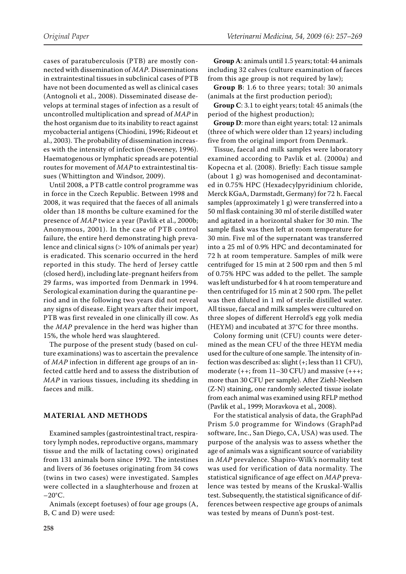cases of paratuberculosis (PTB) are mostly connected with dissemination of *MAP*. Disseminations in extraintestinal tissues in subclinical cases of PTB have not been documented as well as clinical cases (Antognoli et al., 2008). Disseminated disease develops at terminal stages of infection as a result of uncontrolled multiplication and spread of *MAP* in the host organism due to its inability to react against mycobacterial antigens (Chiodini, 1996; Rideout et al., 2003). The probability of dissemination increases with the intensity of infection (Sweeney, 1996). Haematogenous or lymphatic spreads are potential routes for movement of *MAP* to extraintestinal tissues (Whittington and Windsor, 2009).

Until 2008, a PTB cattle control programme was in force in the Czech Republic. Between 1998 and 2008, it was required that the faeces of all animals older than 18 months be culture examined for the presence of *MAP* twice a year (Pavlik et al., 2000b; Anonymous, 2001). In the case of PTB control failure, the entire herd demonstrating high prevalence and clinical signs (> 10% of animals per year) is eradicated. This scenario occurred in the herd reported in this study. The herd of Jersey cattle (closed herd), including late-pregnant heifers from 29 farms, was imported from Denmark in 1994. Serological examination during the quarantine period and in the following two years did not reveal any signs of disease. Eight years after their import, PTB was first revealed in one clinically ill cow. As the *MAP* prevalence in the herd was higher than 15%, the whole herd was slaughtered.

The purpose of the present study (based on culture examinations) was to ascertain the prevalence of *MAP* infection in different age groups of an infected cattle herd and to assess the distribution of *MAP* in various tissues, including its shedding in faeces and milk.

#### **MATERIAL AND METHODS**

Examined samples (gastrointestinal tract, respiratory lymph nodes, reproductive organs, mammary tissue and the milk of lactating cows) originated from 131 animals born since 1992. The intestines and livers of 36 foetuses originating from 34 cows (twins in two cases) were investigated. Samples were collected in a slaughterhouse and frozen at  $-20^{\circ}$ C.

Animals (except foetuses) of four age groups (A, B, C and D) were used:

**Group A**: animals until 1.5 years; total: 44 animals including 32 calves (culture examination of faeces from this age group is not required by law);

**Group B**: 1.6 to three years; total: 30 animals (animals at the first production period);

**Group C**: 3.1 to eight years; total: 45 animals (the period of the highest production);

**Group D**: more than eight years; total: 12 animals (three of which were older than 12 years) including five from the original import from Denmark.

Tissue, faecal and milk samples were laboratory examined according to Pavlik et al. (2000a) and Kopecna et al. (2008). Briefly: Each tissue sample (about 1 g) was homogenised and decontaminated in 0.75% HPC (Hexadecylpyridinium chloride, Merck KGaA, Darmstadt, Germany) for 72 h. Faecal samples (approximately 1 g) were transferred into a 50 ml flask containing 30 ml of sterile distilled water and agitated in a horizontal shaker for 30 min. The sample flask was then left at room temperature for 30 min. Five ml of the supernatant was transferred into a 25 ml of 0.9% HPC and decontaminated for 72 h at room temperature. Samples of milk were centrifuged for 15 min at 2 500 rpm and then 5 ml of 0.75% HPC was added to the pellet. The sample was left undisturbed for 4 h at room temperature and then centrifuged for 15 min at 2 500 rpm. The pellet was then diluted in 1 ml of sterile distilled water. All tissue, faecal and milk samples were cultured on three slopes of different Herrold's egg yolk media (HEYM) and incubated at 37°C for three months.

Colony forming unit (CFU) counts were determined as the mean CFU of the three HEYM media used for the culture of one sample. The intensity of infection was described as: slight (+; less than 11 CFU), moderate (++; from 11–30 CFU) and massive (+++; more than 30 CFU per sample). After Ziehl-Neelsen (Z-N) staining, one randomly selected tissue isolate from each animal was examined using RFLP method (Pavlik et al., 1999; Moravkova et al., 2008).

For the statistical analysis of data, the GraphPad Prism 5.0 programme for Windows (GraphPad software, Inc., San Diego, CA, USA) was used. The purpose of the analysis was to assess whether the age of animals was a significant source of variability in *MAP* prevalence. Shapiro-Wilk's normality test was used for verification of data normality. The statistical significance of age effect on *MAP* prevalence was tested by means of the Kruskal-Wallis test. Subsequently, the statistical significance of differences between respective age groups of animals was tested by means of Dunn's post-test.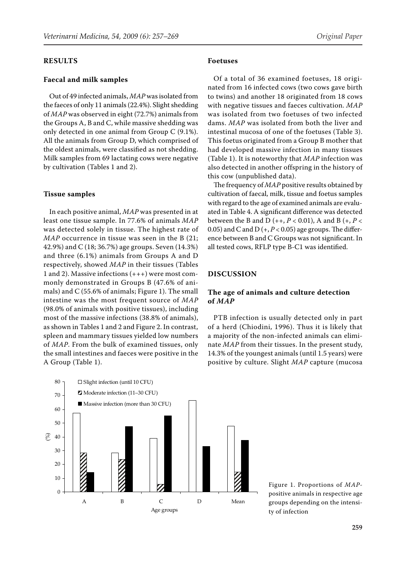#### **RESULTS**

## **Faecal and milk samples**

Out of 49 infected animals, *MAP* was isolated from the faeces of only 11 animals (22.4%). Slight shedding of *MAP* was observed in eight (72.7%) animals from the Groups A, B and C, while massive shedding was only detected in one animal from Group C (9.1%). All the animals from Group D, which comprised of the oldest animals, were classified as not shedding. Milk samples from 69 lactating cows were negative by cultivation (Tables 1 and 2).

#### **Tissue samples**

In each positive animal, *MAP* was presented in at least one tissue sample. In 77.6% of animals *MAP* was detected solely in tissue. The highest rate of *MAP* occurrence in tissue was seen in the B (21; 42.9%) and C (18; 36.7%) age groups. Seven (14.3%) and three (6.1%) animals from Groups A and D respectively, showed *MAP* in their tissues (Tables 1 and 2). Massive infections (+++) were most commonly demonstrated in Groups B (47.6% of animals) and C (55.6% of animals; Figure 1). The small intestine was the most frequent source of *MAP* (98.0% of animals with positive tissues), including most of the massive infections (38.8% of animals), as shown in Tables 1 and 2 and Figure 2. In contrast, spleen and mammary tissues yielded low numbers of *MAP*. From the bulk of examined tissues, only the small intestines and faeces were positive in the A Group (Table 1).

#### **Foetuses**

Of a total of 36 examined foetuses, 18 originated from 16 infected cows (two cows gave birth to twins) and another 18 originated from 18 cows with negative tissues and faeces cultivation. *MAP* was isolated from two foetuses of two infected dams. *MAP* was isolated from both the liver and intestinal mucosa of one of the foetuses (Table 3). This foetus originated from a Group B mother that had developed massive infection in many tissues (Table 1). It is noteworthy that *MAP* infection was also detected in another offspring in the history of this cow (unpublished data).

The frequency of *MAP* positive results obtained by cultivation of faecal, milk, tissue and foetus samples with regard to the age of examined animals are evaluated in Table 4. A significant difference was detected between the B and D (++, *P* < 0.01), A and B (+, *P* < 0.05) and C and D  $(+, P < 0.05)$  age groups. The difference between B and C Groups was not significant. In all tested cows, RFLP type B-C1 was identified.

#### **DISCUSSION**

# **The age of animals and culture detection of** *MAP*

PTB infection is usually detected only in part of a herd (Chiodini, 1996). Thus it is likely that a majority of the non-infected animals can eliminate *MAP* from their tissues. In the present study, 14.3% of the youngest animals (until 1.5 years) were positive by culture. Slight *MAP* capture (mucosa



Figure 1. Proportions of *MAP*positive animals in respective age groups depending on the intensity of infection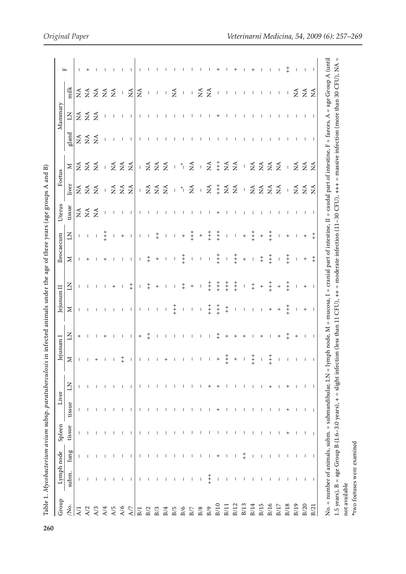| $\overline{\phantom{a}}$<br>١                |
|----------------------------------------------|
|                                              |
|                                              |
|                                              |
|                                              |
|                                              |
|                                              |
|                                              |
|                                              |
|                                              |
|                                              |
| i                                            |
|                                              |
|                                              |
| S                                            |
|                                              |
|                                              |
| ֪֦֖֖֖֖֪֦֪֦֪֪֪֦֪֪֪֪֦֖֚֚֚֚֚֚֬֕֓֕֬֓֡֬֝֬֓֓֬֝֬֓֝֬ |
| ֘֒                                           |
|                                              |
|                                              |
|                                              |
| i                                            |
|                                              |
|                                              |
|                                              |
|                                              |
|                                              |
| i                                            |
|                                              |
|                                              |
|                                              |
|                                              |
|                                              |
|                                              |
|                                              |
|                                              |
|                                              |
|                                              |
|                                              |
|                                              |
|                                              |
|                                              |
|                                              |
|                                              |
|                                              |
|                                              |
|                                              |
|                                              |
|                                              |
|                                              |
|                                              |
|                                              |
| i                                            |
|                                              |
|                                              |
|                                              |
|                                              |
|                                              |
|                                              |
|                                              |
|                                              |
|                                              |
|                                              |
|                                              |
|                                              |
|                                              |
|                                              |
| $\overline{a}$                               |
| l                                            |
| l                                            |
|                                              |
| ļ<br>į                                       |
| ١<br>È                                       |
|                                              |

| Group                  | Lymph node               |                          | Spleen                   | Liver                    |                |            | ejunum I          | Jejunum II                |                          | Ileocaecum        |                                       | Uterus      | Foetus                                     |                                                              |                                 | Mammary                                             |                                                                            | щ          |
|------------------------|--------------------------|--------------------------|--------------------------|--------------------------|----------------|------------|-------------------|---------------------------|--------------------------|-------------------|---------------------------------------|-------------|--------------------------------------------|--------------------------------------------------------------|---------------------------------|-----------------------------------------------------|----------------------------------------------------------------------------|------------|
| /No.                   | subm.                    | $\lim g$                 | tissue                   | tissue                   | $\overline{A}$ | $\geq$     | $\Xi$             | $\Sigma$                  | Ξ                        | $\geq$            | $\Xi$                                 | tissue      | liver                                      | $\geq$                                                       | gland                           | $\overline{A}$                                      | milk                                                                       |            |
| $\lambda$ <sup>1</sup> |                          |                          |                          |                          |                |            | $^{+}$            |                           |                          |                   |                                       |             |                                            |                                                              |                                 |                                                     |                                                                            |            |
| A/2                    |                          |                          |                          |                          |                |            |                   |                           |                          | $^{+}$            | $\Box$                                | $Z \nleq Z$ | $Z \nleq Z$                                | $\tilde{z}$ $\tilde{z}$                                      | $\widetilde{z}$ $\widetilde{z}$ | $\begin{array}{c} 2 \leq x \\ 2 \leq x \end{array}$ |                                                                            |            |
| A/3                    |                          |                          |                          |                          |                |            |                   |                           |                          | $\mathbf{I}$      | $\mathsf I$                           |             |                                            | $\tilde{A}$                                                  |                                 |                                                     | $\begin{array}{c}\n 4 \leq \leq \leq \leq \\ 2 \leq \leq \leq \end{array}$ |            |
| A/4                    |                          |                          |                          |                          |                |            |                   |                           |                          | $^{+}$            | $+$                                   |             | $\perp$                                    | $\bar{1}$                                                    |                                 | $\overline{\phantom{a}}$                            |                                                                            |            |
| A/5                    | $\mathsf{I}$             | $\overline{1}$           | $\mathbf{I}$             | $\mathsf{I}$             |                |            |                   |                           | $^{+}$                   |                   | $\mathbf{I}$                          |             |                                            | $\tilde{\mathbf{z}}$                                         |                                 | $\overline{1}$                                      |                                                                            |            |
| A/6                    | $\overline{1}$           | $\overline{1}$           | $\mathbf{I}$             | $\mathbf{I}$             |                | $\ddagger$ |                   | $\overline{1}$            | $\blacksquare$           | $\overline{1}$    | $\begin{array}{c} + \end{array}$      |             |                                            | $\lessapprox$                                                |                                 | $\overline{\phantom{a}}$                            | $\mathbf I$                                                                |            |
| A/7                    |                          | $\blacksquare$           | $\mathbf{I}$             |                          |                |            |                   |                           | $\ddagger$               | $\mathbf{I}$      | $\blacksquare$                        |             | $\frac{3}{2}$ $\frac{4}{2}$ $\frac{4}{2}$  | $\lessapprox$                                                |                                 | - 1                                                 | $\lessapprox$                                                              |            |
| B/1                    |                          | $\mathbf{I}$             | Ι.                       |                          |                |            | $\qquad \qquad +$ | $\mathbf{I}$              | $\mathbf{L}$             | $\mathbf{L}$      | $\mathbf{L}$                          |             |                                            | $\bar{\Gamma}$                                               |                                 | $\mathbf{I}$                                        | $\lessapprox$                                                              |            |
| B/2                    |                          |                          |                          |                          |                |            | İ                 | $\Box$                    | $\ddagger$               | $\ddagger$        | $\mathbf{I}$                          |             |                                            |                                                              |                                 |                                                     | $\perp$                                                                    |            |
| B/3                    | $\mathbf{I}$             | $\mathsf{I}$             | $\overline{1}$           |                          |                |            |                   | $\Box$                    | $^{+}$                   | $\qquad \qquad +$ | $\ddagger$                            |             |                                            | $Z \nleq Z$                                                  |                                 | $\mathbf{I}$                                        | $\mathbf{I}$                                                               |            |
| $\mathrm{B}/4$         | $\mathbf{I}$             | $\overline{1}$           | $\mathbf{I}$             |                          |                |            |                   | $\blacksquare$            | $\overline{\phantom{a}}$ | $\blacksquare$    | $\perp$                               |             | $-555$                                     |                                                              |                                 |                                                     | $\mathbf{I}$                                                               |            |
| B/5                    | $\Box$                   | $\mathbf{I}$             | $\overline{\phantom{a}}$ |                          |                |            |                   | $\frac{+}{+}$             | $\overline{\phantom{a}}$ | $\bar{1}$         | $\mathbf{I}$                          |             | $\mathbf{I}$                               | $\bar{1}$                                                    |                                 |                                                     | $\lessapprox$                                                              |            |
| B/6                    | $\mathbf{I}$             | $\blacksquare$           | - 1                      | $\mathbf{I}$             |                |            |                   | $\perp$                   | $\ddagger$               | $+$               | $\qquad \qquad +$                     |             | $\ddot{\tilde{}}$                          | $^\ast$                                                      |                                 |                                                     | $\perp$                                                                    |            |
| B/7                    | $\mathbf{I}$             | $\mathbf{I}$             | $\mathbf{I}$             | $\mathbf{I}$             |                |            |                   | $\mathcal{A}$             | $\qquad \qquad +$        | $\top$            | $+$<br>+                              |             | $\lessapprox$                              | $\lessapprox$                                                |                                 |                                                     |                                                                            |            |
| $_{\rm B/8}$           | $\mathbf{I}$             | $\mathbf{I}$             | $\mathsf{I}$             | $\mathbf{I}$             |                |            |                   | $\mathsf I$               | $\mathsf I$              | $\mathsf I$       | $\qquad \qquad +$                     |             | $\bar{1}$                                  | $\mathbf I$                                                  |                                 |                                                     | $\frac{1}{2}$ $\frac{1}{2}$                                                |            |
| $\mathrm{B}/9$         | $+$<br>+                 | $\mathsf{I}$             | $\mathbf{I}$             | $\mathbf{I}$             |                |            |                   | $+$                       | $+$                      | $\mathsf{L}$      | $+$<br>+                              |             | $\mathbb{E}$                               | $\tilde{\mathbf{z}}$                                         |                                 |                                                     |                                                                            |            |
| B/10                   | -1                       | $^{+}$                   |                          | $^{+}$                   |                |            |                   | $+ +$                     | $+ +$                    | $\frac{+}{+}$     | $+ +$                                 |             | $+$<br>+                                   | $+$                                                          |                                 |                                                     | $\perp$                                                                    |            |
| B/11                   |                          | - 1                      | $\mathbf{I}$             |                          |                |            |                   | $\ddagger$                | $+$<br>+                 | $\mathsf I$       | $\mathsf I$                           |             | $\tilde{z} \tilde{z}$                      | ≨ ≨                                                          |                                 |                                                     | $\overline{\phantom{a}}$                                                   |            |
| B/12                   |                          |                          |                          |                          |                |            |                   | $\mathbf{I}$              | $+$<br>+                 | $+ +$             | $\mathsf I$                           |             |                                            |                                                              |                                 |                                                     | $\blacksquare$                                                             |            |
| B/13                   | $\mathbf{I}$             | $\ddagger$               |                          | $\mathbf{I}$             |                |            |                   | $\mathbf{I}$              | $\mathsf I$              | $\qquad \qquad +$ | $\ddot{}$                             |             | $\mathbf I$                                | $\mathsf I$                                                  |                                 |                                                     | $\Box$                                                                     |            |
| B/14                   | $\mathbf{I}$             |                          |                          | $\mathbf{I}$             |                | $+$        |                   |                           | $_+^+$                   | $\mathbf{L}$      | $+$                                   |             |                                            |                                                              |                                 |                                                     | $-1$ $-1$                                                                  |            |
| B/15                   |                          |                          |                          | $\mathbf{I}$             |                |            |                   | $\mathbf{1}$ $\mathbf{1}$ | $\qquad \qquad +$        | $+$               | $\qquad \qquad +$                     |             | $Z \nleq Z \nleq Z$                        | $\widetilde{z}$ $\widetilde{z}$                              |                                 |                                                     |                                                                            |            |
| B/16                   |                          | $\mathbf{I}$             |                          |                          |                | $+$<br>$+$ |                   | $^{+}$                    | $+$                      | $+$<br>$+$        | $\frac{+}{+}$                         |             |                                            | $\tilde{z}$                                                  |                                 |                                                     | $\blacksquare$                                                             |            |
| B/17                   |                          |                          |                          |                          |                |            | $^{+}$            | $^{+}$                    | $\ddot{}$                | $\mathbf{I}$      | $\begin{array}{c} \hline \end{array}$ |             |                                            | $\tilde{\mathbf{z}}$                                         |                                 |                                                     | $\sim 1$                                                                   |            |
| B/18                   | $\mathbf{I}$             |                          | $^{+}$                   | $\ddot{}$                |                |            | $\ddagger$        | $\frac{+}{+}$             | $+$                      | $+ +$             | $\ddot{}$                             |             | $\mathbf{I}$                               | $\bar{1}$                                                    |                                 |                                                     | $\mathsf T$                                                                | $\ddagger$ |
| B/19                   | $\mathsf{I}$             | $\mathsf{I}$             | $\mathbf{I}$             | $\mathbf{I}$             |                |            | $\qquad \qquad +$ | $\overline{\phantom{a}}$  | $\mathbf{I}$             | $\mathbf{I}$      | $\overline{\phantom{a}}$              |             |                                            |                                                              |                                 |                                                     | $\boldsymbol{\tilde{z}}$                                                   |            |
| B/20                   | $\overline{\phantom{a}}$ | $\overline{\phantom{a}}$ | $\overline{\phantom{a}}$ | $\overline{\phantom{a}}$ | $\mathbf{I}$   |            |                   | $+$                       | $\ddot{}$                | $+$               | $^{+}$                                |             | $\begin{array}{c} 2 \leq \leq \end{array}$ | $\begin{array}{c} 2 \leq x \leq 1 \leq x \leq 1 \end{array}$ |                                 |                                                     | $\tilde{z}$ $\tilde{z}$                                                    |            |
| B/21                   | $\overline{\phantom{a}}$ | $\overline{1}$           |                          |                          |                |            |                   | $\overline{\phantom{0}}$  | $\overline{\phantom{0}}$ | $\ddagger$        | $\ddagger$                            |             |                                            |                                                              |                                 |                                                     |                                                                            |            |

\*two foetuses were examined \*two foetuses were examinednot available

not available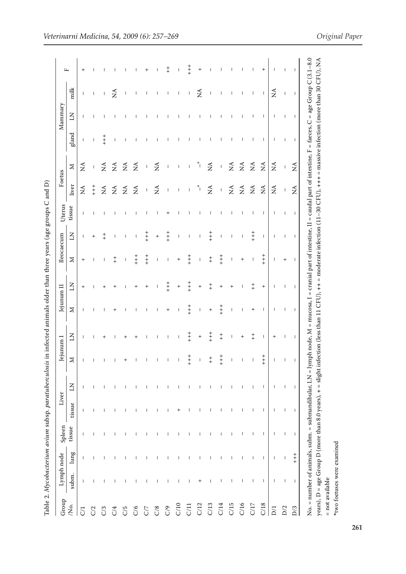| ļ<br>١                                                                             |
|------------------------------------------------------------------------------------|
| ļ                                                                                  |
| Ì<br>ï                                                                             |
| ı<br>j<br>ï                                                                        |
|                                                                                    |
| ٫<br>I                                                                             |
| i                                                                                  |
|                                                                                    |
| ֖֖֖֢ׅ֖֪ׅ֪ׅ֖֪ׅ֪ׅ֪ׅ֪֪ׅ֪֪ׅ֪֪ׅ֪֪֪֪֪֪֪֪֪֪֪֪֪֪֪֪֪֪֪֪֪֪֪֪֪֪֪֪֚֚֚֚֚֚֚֚֚֚֚֚֚֚֚֚֚֡֝֬֝֝֬֓֓֞֬֓ |
| ׇ֦֘֝֬֝֬                                                                            |
| ۱                                                                                  |
|                                                                                    |
| i<br>l                                                                             |
| İ                                                                                  |
|                                                                                    |
| ī                                                                                  |
| :<br>٢                                                                             |
|                                                                                    |
| į                                                                                  |
| ١                                                                                  |
|                                                                                    |
| i<br>֚֘֝֬                                                                          |
| l                                                                                  |
| í                                                                                  |
|                                                                                    |
|                                                                                    |
|                                                                                    |
|                                                                                    |
|                                                                                    |
|                                                                                    |
| l                                                                                  |
| l<br>I<br>ī                                                                        |
| ۱<br>Ξ<br>i<br>$\overline{\phantom{a}}$                                            |
| į<br>I<br>ے<br>F<br>l<br>l                                                         |
|                                                                                    |

| Group           | Lymph node               |                          | Spleen       | Liver                    |                | ejunum I   |                                       |                          |                          | lleocaecum                            |                                       |                          |                              |                                                                                                                                                                                                                                                                                                                                                                                  |                          | Mammary                  |                          |                |
|-----------------|--------------------------|--------------------------|--------------|--------------------------|----------------|------------|---------------------------------------|--------------------------|--------------------------|---------------------------------------|---------------------------------------|--------------------------|------------------------------|----------------------------------------------------------------------------------------------------------------------------------------------------------------------------------------------------------------------------------------------------------------------------------------------------------------------------------------------------------------------------------|--------------------------|--------------------------|--------------------------|----------------|
| Ó.              | subm.                    | $\lim g$                 | tissue       | tissue                   | $\overline{z}$ | $\geq$     | $\overline{A}$                        | $\geq$                   | KI                       | $\geq$                                | $\overline{z}$                        | tissue                   | liver                        | $\geq$                                                                                                                                                                                                                                                                                                                                                                           | gland                    | $\overline{A}$           | milk                     | щ              |
| $\overline{C}$  |                          |                          |              | J.                       | $\mathbf{I}$   |            | $\mathbf{I}$                          | $\overline{1}$           | $^{+}$                   | $^{+}$                                | $\mathbf{I}$                          | $\mathbf{I}$             | $\tilde{\mathbf{z}}$         | $\tilde{\mathbf{z}}$                                                                                                                                                                                                                                                                                                                                                             | $\mathbf{I}$             | $\mathbf{I}$             | $\mathbf{I}$             | $^{+}$         |
| C/2             |                          |                          |              |                          |                |            |                                       |                          |                          | $\mathbf{I}$                          | $\overline{+}$                        | $\mathbf{I}$             | $+$                          | $\mathsf I$                                                                                                                                                                                                                                                                                                                                                                      | $\mathsf{I}$             | $\overline{\phantom{a}}$ | $\mathsf{I}$             |                |
| C/3             |                          |                          |              |                          |                |            |                                       |                          |                          | $\overline{\phantom{a}}$              | $\ddagger$                            | $\overline{\phantom{a}}$ | $\mathbb{E}$                 | $\stackrel{\blacktriangle}{\geq}$                                                                                                                                                                                                                                                                                                                                                | $+$                      | п                        | $\mathsf I$              |                |
| C/4             |                          |                          |              |                          |                |            |                                       | $\,{}^{+}\,$             |                          | $+$                                   | 1                                     |                          | $\tilde{z}$                  | $\tilde{\mathbf{z}}$                                                                                                                                                                                                                                                                                                                                                             | $\overline{\phantom{a}}$ |                          | $\widetilde{\Sigma}$     |                |
| $\rm C/5$       |                          |                          |              |                          |                |            |                                       |                          |                          | $\overline{\phantom{a}}$              | $\overline{\phantom{a}}$              |                          | $\tilde{\mathbf{z}}$         | $\tilde{z}$                                                                                                                                                                                                                                                                                                                                                                      |                          |                          |                          |                |
| C/6             |                          |                          |              |                          |                |            |                                       |                          |                          | $+$                                   | $\mathsf I$                           |                          | $\lessapprox$                | $\tilde{z}$                                                                                                                                                                                                                                                                                                                                                                      |                          |                          |                          |                |
| $\rm C/$        |                          |                          |              |                          |                |            |                                       |                          | $^{+}$                   | $+ +$                                 | $+$                                   |                          | $\mathsf I$                  | $\sf I$                                                                                                                                                                                                                                                                                                                                                                          |                          |                          |                          | $\,{}^+$       |
| $\rm C/8$       |                          |                          |              |                          |                |            |                                       | 1                        | $\overline{\phantom{a}}$ | $\overline{\phantom{a}}$              | $^{+}$                                |                          | $\tilde{z}$                  | $\tilde{z}$                                                                                                                                                                                                                                                                                                                                                                      |                          |                          |                          |                |
| C/9             |                          |                          |              |                          |                |            | 1                                     | $\ddot{}$                | $+$                      | $\begin{array}{c} \hline \end{array}$ | $+ +$                                 | $\overline{+}$           | $\,$ $\,$                    | $\sf I$                                                                                                                                                                                                                                                                                                                                                                          |                          |                          | I                        | $+$            |
| ${\cal C}$ 10   |                          |                          |              |                          |                |            | $\begin{array}{c} \hline \end{array}$ | $\overline{\phantom{a}}$ | $^{+}$                   | $^{+}$                                | $\mathsf I$                           |                          | $\overline{\phantom{a}}$     | $\begin{array}{c} \hline \end{array}$                                                                                                                                                                                                                                                                                                                                            |                          | $\mathsf{I}$             | $\mathsf I$              | I              |
| ${\it C}$ /11   |                          |                          |              |                          |                | $+$<br>$+$ | $+$                                   | $+$<br>$+$               | $+$                      | $+$                                   | $\mathsf I$                           |                          | $\mathsf{I}$                 | $\begin{array}{c} \rule{0pt}{2.5ex} \rule{0pt}{2.5ex} \rule{0pt}{2.5ex} \rule{0pt}{2.5ex} \rule{0pt}{2.5ex} \rule{0pt}{2.5ex} \rule{0pt}{2.5ex} \rule{0pt}{2.5ex} \rule{0pt}{2.5ex} \rule{0pt}{2.5ex} \rule{0pt}{2.5ex} \rule{0pt}{2.5ex} \rule{0pt}{2.5ex} \rule{0pt}{2.5ex} \rule{0pt}{2.5ex} \rule{0pt}{2.5ex} \rule{0pt}{2.5ex} \rule{0pt}{2.5ex} \rule{0pt}{2.5ex} \rule{0$ |                          | T                        | $\mathsf I$              | $+ +$          |
| C/12            |                          |                          |              |                          |                |            | $^{+}$                                | $\mathsf I$              | $^{+}$                   | $\mathsf I$                           | $\mathsf I$                           |                          | $\mathbf{I}^*$               | $\ddot{\tilde{}}$                                                                                                                                                                                                                                                                                                                                                                |                          | $\overline{\phantom{a}}$ | $\mathbb{E}$             | $^{+}$         |
| C/13            |                          |                          |              |                          |                | $^{+}$     | $+ +$                                 | $^{+}$                   | $+$                      | $_+^+$                                | $+$                                   | ı                        | $\stackrel{\triangle}{\geq}$ | $\lessapprox$                                                                                                                                                                                                                                                                                                                                                                    |                          | T                        | I                        |                |
| ${\cal C}$ 14   |                          |                          |              |                          |                | $\ddagger$ | $_+^+$                                | $+ +$                    | $\overline{+}$           | $+ +$                                 | $\begin{array}{c} \hline \end{array}$ |                          | $\bar{1}$                    | $\begin{array}{c} \hline \end{array}$                                                                                                                                                                                                                                                                                                                                            |                          | $\overline{\phantom{a}}$ | $\overline{\phantom{a}}$ |                |
| ${\cal C} / 15$ |                          |                          |              |                          |                |            | $\overline{\phantom{a}}$              | $\mathbf{I}$             |                          | $\mathsf I$                           | $\mathsf{I}$                          |                          | $\mathbb{E}$                 | $\tilde{\mathbf{z}}$                                                                                                                                                                                                                                                                                                                                                             |                          |                          | I                        |                |
| $C/16$          |                          |                          |              |                          |                |            | $\,{}^+$                              |                          |                          | $^{+}$                                | T                                     |                          | $\tilde{\mathbf{z}}$         |                                                                                                                                                                                                                                                                                                                                                                                  |                          |                          |                          |                |
| $C/17$          |                          |                          |              |                          |                |            | $^{+}_{+}$                            | $^{+}$                   | $\ddagger$               |                                       | $+ +$                                 |                          | $\mathbb{E}$                 | $\tilde{z}$ $\tilde{z}$                                                                                                                                                                                                                                                                                                                                                          |                          | $\mathbf{I}$             | $\mathsf{I}$             |                |
| ${\bf C}/18$    | $\overline{\phantom{a}}$ | $\overline{\phantom{a}}$ |              | $\overline{\phantom{a}}$ |                | $+$<br>++  | $\mathsf{I}$                          | $\overline{\phantom{a}}$ | $\ddot{}$                | $+$<br>+                              | $\mathsf{I}$                          | $\mathsf{I}$             | $\lessapprox$                | $\lesssim$                                                                                                                                                                                                                                                                                                                                                                       | $\mathbf{I}$             | $\mathsf{I}$             | $\mathsf{I}$             | $\overline{+}$ |
| $\rm D1$        | I                        |                          |              |                          |                |            | $^+$                                  | $\mathbf{I}$             | 1                        | T                                     | -1                                    | $\mathbf{I}$             | $\lessapprox$                | $\tilde{z}$                                                                                                                                                                                                                                                                                                                                                                      | ı                        | $\mathsf{I}$             | ž                        |                |
| ${\rm D}/2$     | $\overline{\phantom{a}}$ |                          |              |                          |                |            | $\mathbf{I}$                          | $\mathbf{I}$             | $\mathbf{I}$             | $\ddot{}$                             | $\overline{1}$                        | $\mathbf{I}$             | $\overline{\phantom{a}}$     | $\,$ $\,$                                                                                                                                                                                                                                                                                                                                                                        | $\mathbf{I}$             | $\overline{1}$           | $\mathsf I$              |                |
| $\mathbf{D}/3$  | $\mathsf{I}$             | $+$<br>$+$               | $\mathsf{I}$ | $\mathsf{I}$             | $\mathbf{I}$   |            | $\mathbf{I}$                          | $\mathbf{I}$             | $\mathbf{I}$             | $\mathbf{I}$                          | $\mathbf{I}$                          | $\mathbf{I}$             | $\sum_{i=1}^{n}$             | $\lessapprox$                                                                                                                                                                                                                                                                                                                                                                    | $\mathbf{I}$             | $\mathbf{I}$             | $\mathsf{I}$             |                |

*Veterinarni Medicina, 54, 2009 (6): 257–269 Original Paper*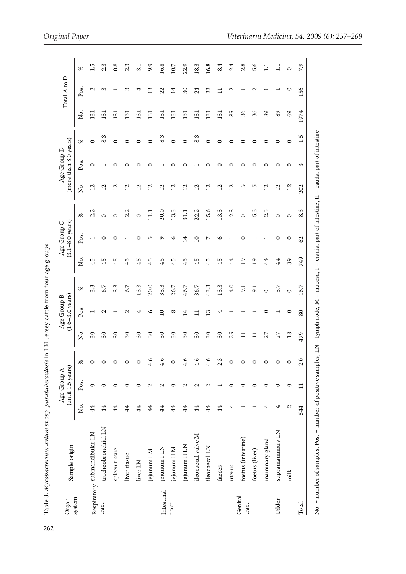| こうこうじょう こうりょこうしょ りょうこうしょう<br>$5 - 5 - 6$<br>$\cdots$ and $\cdots$<br>. The distribution of the TIT contribution |
|-----------------------------------------------------------------------------------------------------------------|
|                                                                                                                 |
| וניו ויי ויי ו                                                                                                  |
| こうりきり ひこうする そうしょう しゅう れきこう かんこうかん                                                                               |
|                                                                                                                 |
|                                                                                                                 |
|                                                                                                                 |
|                                                                                                                 |
|                                                                                                                 |
|                                                                                                                 |
|                                                                                                                 |
| :                                                                                                               |
| 26<br>$\overline{2}$                                                                                            |

| Organ            | Sample origin                                                                                                                                         |                   | $($ until 1.5 years $)$<br>Age Group A |                         |                            | $(1.6 - 3.0 \text{ years})$<br>Age Group B |                |                 | $(3.1 - 8.0 \text{ years})$<br>Age Group C |                |                   | (more than 8.0 years)<br>Age Group D |         |                  | Total A to D          |                  |
|------------------|-------------------------------------------------------------------------------------------------------------------------------------------------------|-------------------|----------------------------------------|-------------------------|----------------------------|--------------------------------------------|----------------|-----------------|--------------------------------------------|----------------|-------------------|--------------------------------------|---------|------------------|-----------------------|------------------|
| system           |                                                                                                                                                       | ,<br>Š            | Pos.                                   | $\approx$               | ò.                         | Pos.                                       | $\%$           | ,<br>Ž          | Pos.                                       | ℅              | ,<br>Ž            | Pos.                                 | ℅       | ò<br>Z           | Pos.                  | ℅                |
|                  | Respiratory submandibular LN                                                                                                                          | 4                 | $\circ$                                |                         | $30\,$                     |                                            | 3.3            | 45              |                                            | 2.2            | $\overline{12}$   | 0                                    | $\circ$ | $\overline{13}$  | $\mathbf{\mathsf{C}}$ | 1.5              |
| tract            | tracheobronchial LN                                                                                                                                   | $\ddot{4}$        | $\circ$                                |                         | $\overline{\mathcal{E}}$   | Z                                          | 6.7            | 45              | $\circ$                                    | $\circ$        | 12                |                                      | w<br>∞ं | 131              | S                     | 2.3              |
|                  | spleen tissue                                                                                                                                         | 4                 | $\circ$                                |                         | $\boldsymbol{\mathcal{E}}$ |                                            | 3.3            | 45              | 0                                          | $\circ$        | $\overline{12}$   | 0                                    | $\circ$ | $\overline{131}$ |                       | 0.8              |
|                  | liver tissue                                                                                                                                          | 4                 | ⊂                                      | 0                       | 30                         | $\sim$                                     | 6.7            | 45              |                                            | 2.2            | S                 |                                      | 0       | $\overline{131}$ | S                     | 2.3              |
|                  | liver LN                                                                                                                                              | $\overline{4}$    | 0                                      | $\circ$                 | $30\,$                     |                                            | 13.3           | 45              | ○                                          | $\circ$        | $\mathbf{\Omega}$ |                                      | $\circ$ | $\Xi$            | ෑ                     | $\overline{3.1}$ |
|                  | jejunum I M                                                                                                                                           | $\overline{4}$    | Z                                      | ڥ<br>4                  | $\mathcal{S}$              | ७                                          | 20.0           | 45              | S                                          | $\Xi$          | S                 |                                      | $\circ$ | $\overline{131}$ | $\frac{3}{2}$         | 9.9              |
| Intestinal       | jejunum I LN                                                                                                                                          | $\overline{4}$    | $\mathbf{\Omega}$                      | 4.6                     | $30\,$                     | $\overline{a}$                             | 33.3           | 45              | ᡡ                                          | 20.0           | ⊴                 |                                      | 8.3     | $\overline{131}$ | 22                    | 16.8             |
| tract            | jejunum II M                                                                                                                                          | 44                | 0                                      | 0                       | $\overline{30}$            | $^{\circ}$                                 | 26.7           | 45              | ७                                          | 13.3           | $\mathbf{C}$      |                                      | 0       | $\overline{131}$ | ゴ                     | 10.7             |
|                  | jejunum II LN                                                                                                                                         | $\ddot{4}$        | 2                                      | ِ<br>4                  | $\boldsymbol{\mathcal{E}}$ | 반                                          | 46.7           | 45              | 4                                          | $\frac{11}{2}$ | ≌                 |                                      | $\circ$ | $\overline{131}$ | $\mathcal{S}$         | 22.9             |
|                  | ileocaecal valve M                                                                                                                                    | 4                 | 2                                      | ڢ<br>4                  | $30\,$                     | Ξ                                          | 36.7           | 45              | $\Omega$                                   | 22.2           | $\mathbf{r}$      |                                      | 8.3     | $\overline{131}$ | 24                    | 18.3             |
|                  | ileocaecal LN                                                                                                                                         | 44                | 2                                      | ڢ<br>4                  | $\overline{\mathcal{E}}$   | S                                          | 43.3           | 45              | ↖                                          | 15.6           | $\overline{12}$   |                                      | $\circ$ | $\overline{131}$ | 22                    | 16.8             |
|                  | faeces                                                                                                                                                | 4                 |                                        | Ċ.<br>$\mathbf{\Omega}$ | $30\,$                     | 4                                          | 13.3           | 45              | $\circ$                                    | 13.3           | $\overline{12}$   | ∊                                    | $\circ$ | 131              | $\Xi$                 | 8.4              |
|                  | uterus                                                                                                                                                | 4                 | $\circ$                                | $\circ$                 | 25                         |                                            | 4.0            | $\overline{4}$  |                                            | 2.3            | $\overline{12}$   | 0                                    | $\circ$ | 85               | $\mathbf{\sim}$       | 2.4              |
| Genital<br>tract | foetus (intestine)                                                                                                                                    |                   | $\circ$                                |                         | $\Xi$                      |                                            | $\overline{5}$ | $\overline{1}$  |                                            | $\circ$        | 5                 | 0                                    | 0       | 36               |                       | 2.8              |
|                  | foetus (liver)                                                                                                                                        |                   | $\circ$                                |                         | $\Xi$                      |                                            | 9.1            | $\overline{19}$ |                                            | 5.3            | S                 | 0                                    | $\circ$ | 36               | $\mathbf{\sim}$       | 5.6              |
|                  | mammary gland                                                                                                                                         | 4                 | $\circ$                                |                         | 27                         | ⊂                                          | $\circ$        | 4               |                                            | 2.3            | $\overline{12}$   | 0                                    | 0       | 89               |                       | コ                |
| Udder            | supramammary LN                                                                                                                                       | 4                 | $\circ$                                | c                       | 27                         |                                            | 3.7            | 44              | ⊂                                          | $\circ$        | 12                | 0                                    | 0       | 89               |                       | コ                |
|                  | milk                                                                                                                                                  | $\mathbf{\Omega}$ | $\circ$                                | 0                       | 18                         | 0                                          | $\circ$        | 39              | 0                                          | $\circ$        | $\overline{12}$   | 0                                    | $\circ$ | $^{69}$          | 0                     | $\circ$          |
| Total            |                                                                                                                                                       | 544               | $\Xi$                                  | Q<br>$\mathbf{\sim}$    | 479                        | 80                                         | 16.7           | 749             | 2                                          | 8.3            | 202               | ω                                    | 1.5     | 1974             | 156                   | 7.9              |
|                  | No. = number of samples, Pos. = number of positive samples, LN = lymph node, M = mucosa, I = cranial part of intestine, II = caudal part of intestine |                   |                                        |                         |                            |                                            |                |                 |                                            |                |                   |                                      |         |                  |                       |                  |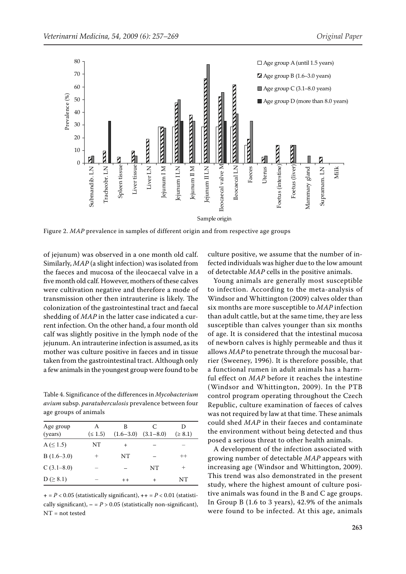

Figure 2. *MAP* prevalence in samples of different origin and from respective age groups

of jejunum) was observed in a one month old calf. Similarly, *MAP* (a slight infection) was isolated from the faeces and mucosa of the ileocaecal valve in a five month old calf. However, mothers of these calves were cultivation negative and therefore a mode of transmission other then intrauterine is likely. The colonization of the gastrointestinal tract and faecal shedding of *MAP* in the latter case indicated a current infection. On the other hand, a four month old calf was slightly positive in the lymph node of the jejunum. An intrauterine infection is assumed, as its mother was culture positive in faeces and in tissue taken from the gastrointestinal tract. Although only a few animals in the youngest group were found to be

Table 4. Significance of the differences in *Mycobacterium avium* subsp. *paratuberculosis* prevalence between four age groups of animals

| Age group<br>(years) | A<br>$( \le 1.5)$ | B<br>$(1.6 - 3.0)$ | C<br>$(3.1 - 8.0)$ | D<br>$( \ge 8.1)$ |
|----------------------|-------------------|--------------------|--------------------|-------------------|
| $A \leq 1.5$         | NT                | $^+$               |                    |                   |
|                      |                   |                    |                    |                   |
| $B(1.6-3.0)$         | $^{+}$            | NT                 |                    | $^{++}$           |
| C(3.1–8.0)           |                   |                    | <b>NT</b>          | $^+$              |
| $D ( \geq 8.1)$      |                   | $++$               | $^{+}$             | NΤ                |

**+** = *P* < 0.05 (statistically significant), **++** = *P* < 0.01 (statistically significant),  $-$  =  $P > 0.05$  (statistically non-significant), NT = not tested

culture positive, we assume that the number of infected individuals was higher due to the low amount of detectable *MAP* cells in the positive animals.

Young animals are generally most susceptible to infection. According to the meta-analysis of Windsor and Whittington (2009) calves older than six months are more susceptible to *MAP* infection than adult cattle, but at the same time, they are less susceptible than calves younger than six months of age. It is considered that the intestinal mucosa of newborn calves is highly permeable and thus it allows *MAP* to penetrate through the mucosal barrier (Sweeney, 1996). It is therefore possible, that a functional rumen in adult animals has a harmful effect on *MAP* before it reaches the intestine (Windsor and Whittington, 2009). In the PTB control program operating throughout the Czech Republic, culture examination of faeces of calves was not required by law at that time. These animals could shed *MAP* in their faeces and contaminate the environment without being detected and thus posed a serious threat to other health animals.

A development of the infection associated with growing number of detectable *MAP* appears with increasing age (Windsor and Whittington, 2009). This trend was also demonstrated in the present study, where the highest amount of culture positive animals was found in the B and C age groups. In Group B (1.6 to 3 years), 42.9% of the animals were found to be infected. At this age, animals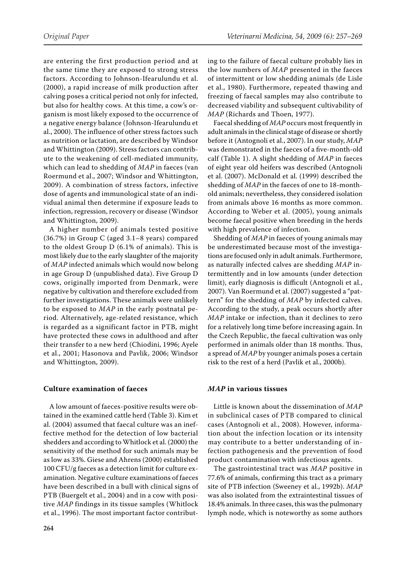are entering the first production period and at the same time they are exposed to strong stress factors. According to Johnson-Ifearulundu et al. (2000), a rapid increase of milk production after calving poses a critical period not only for infected, but also for healthy cows. At this time, a cow's organism is most likely exposed to the occurrence of a negative energy balance (Johnson-Ifearulundu et al., 2000). The influence of other stress factors such as nutrition or lactation, are described by Windsor and Whittington (2009). Stress factors can contribute to the weakening of cell-mediated immunity, which can lead to shedding of *MAP* in faeces (van Roermund et al., 2007; Windsor and Whittington, 2009). A combination of stress factors, infective dose of agents and immunological state of an individual animal then determine if exposure leads to infection, regression, recovery or disease (Windsor and Whittington, 2009).

A higher number of animals tested positive (36.7%) in Group C (aged 3.1–8 years) compared to the oldest Group D (6.1% of animals). This is most likely due to the early slaughter of the majority of *MAP* infected animals which would now belong in age Group D (unpublished data). Five Group D cows, originally imported from Denmark, were negative by cultivation and therefore excluded from further investigations. These animals were unlikely to be exposed to *MAP* in the early postnatal period. Alternatively, age-related resistance, which is regarded as a significant factor in PTB, might have protected these cows in adulthood and after their transfer to a new herd (Chiodini, 1996; Ayele et al., 2001; Hasonova and Pavlik, 2006; Windsor and Whittington, 2009).

#### **Culture examination of faeces**

A low amount of faeces-positive results were obtained in the examined cattle herd (Table 3). Kim et al. (2004) assumed that faecal culture was an ineffective method for the detection of low bacterial shedders and according to Whitlock et al. (2000) the sensitivity of the method for such animals may be as low as 33%. Giese and Ahrens (2000) established 100 CFU/g faeces as a detection limit for culture examination. Negative culture examinations of faeces have been described in a bull with clinical signs of PTB (Buergelt et al., 2004) and in a cow with positive *MAP* findings in its tissue samples (Whitlock et al., 1996). The most important factor contributing to the failure of faecal culture probably lies in the low numbers of *MAP* presented in the faeces of intermittent or low shedding animals (de Lisle et al., 1980). Furthermore, repeated thawing and freezing of faecal samples may also contribute to decreased viability and subsequent cultivability of *MAP* (Richards and Thoen, 1977).

Faecal shedding of *MAP* occurs most frequently in adult animals in the clinical stage of disease or shortly before it (Antognoli et al., 2007). In our study, *MAP* was demonstrated in the faeces of a five-month-old calf (Table 1). A slight shedding of *MAP* in faeces of eight year old heifers was described (Antognoli et al. (2007). McDonald et al. (1999) described the shedding of *MAP* in the faeces of one to 18-monthold animals; nevertheless, they considered isolation from animals above 16 months as more common. According to Weber et al. (2005), young animals become faecal positive when breeding in the herds with high prevalence of infection.

Shedding of *MAP* in faeces of young animals may be underestimated because most of the investigations are focused only in adult animals. Furthermore, as naturally infected calves are shedding *MAP* intermittently and in low amounts (under detection limit), early diagnosis is difficult (Antognoli et al., 2007). Van Roermund et al. (2007) suggested a "pattern" for the shedding of *MAP* by infected calves. According to the study, a peak occurs shortly after *MAP* intake or infection, than it declines to zero for a relatively long time before increasing again. In the Czech Republic, the faecal cultivation was only performed in animals older than 18 months. Thus, a spread of *MAP* by younger animals poses a certain risk to the rest of a herd (Pavlik et al., 2000b).

#### *MAP* **in various tissues**

Little is known about the dissemination of *MAP*  in subclinical cases of PTB compared to clinical cases (Antognoli et al., 2008). However, information about the infection location or its intensity may contribute to a better understanding of infection pathogenesis and the prevention of food product contamination with infectious agents.

The gastrointestinal tract was *MAP* positive in 77.6% of animals, confirming this tract as a primary site of PTB infection (Sweeney et al., 1992b). *MAP* was also isolated from the extraintestinal tissues of 18.4% animals. In three cases, this was the pulmonary lymph node, which is noteworthy as some authors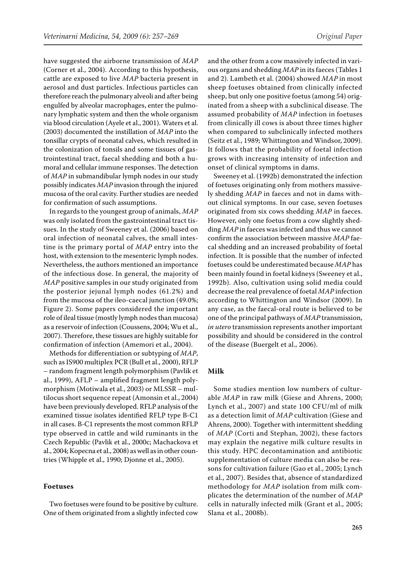have suggested the airborne transmission of *MAP* (Corner et al., 2004). According to this hypothesis, cattle are exposed to live *MAP* bacteria present in aerosol and dust particles. Infectious particles can therefore reach the pulmonary alveoli and after being engulfed by alveolar macrophages, enter the pulmonary lymphatic system and then the whole organism via blood circulation (Ayele et al., 2001). Waters et al. (2003) documented the instillation of *MAP* into the tonsillar crypts of neonatal calves, which resulted in the colonization of tonsils and some tissues of gastrointestinal tract, faecal shedding and both a humoral and cellular immune responses. The detection of *MAP* in submandibular lymph nodes in our study possibly indicates *MAP* invasion through the injured mucosa of the oral cavity. Further studies are needed for confirmation of such assumptions.

In regards to the youngest group of animals, *MAP* was only isolated from the gastrointestinal tract tissues. In the study of Sweeney et al. (2006) based on oral infection of neonatal calves, the small intestine is the primary portal of *MAP* entry into the host, with extension to the mesenteric lymph nodes. Nevertheless, the authors mentioned an importance of the infectious dose. In general, the majority of *MAP* positive samples in our study originated from the posterior jejunal lymph nodes (61.2%) and from the mucosa of the ileo-caecal junction (49.0%; Figure 2). Some papers considered the important role of ileal tissue (mostly lymph nodes than mucosa) as a reservoir of infection (Coussens, 2004; Wu et al., 2007). Therefore, these tissues are highly suitable for confirmation of infection (Amemori et al., 2004).

Methods for differentiation or subtyping of *MAP*, such as IS900 multiplex PCR (Bull et al., 2000), RFLP – random fragment length polymorphism (Pavlik et al., 1999), AFLP – amplified fragment length polymorphism (Motiwala et al., 2003) or MLSSR – multilocus short sequence repeat (Amonsin et al., 2004) have been previously developed. RFLP analysis of the examined tissue isolates identified RFLP type B-C1 in all cases. B-C1 represents the most common RFLP type observed in cattle and wild ruminants in the Czech Republic (Pavlik et al., 2000c; Machackova et al., 2004; Kopecna et al., 2008) as well as in other countries (Whipple et al., 1990; Djonne et al., 2005).

#### **Foetuses**

Two foetuses were found to be positive by culture. One of them originated from a slightly infected cow

and the other from a cow massively infected in various organs and shedding *MAP* in its faeces (Tables 1 and 2). Lambeth et al. (2004) showed *MAP* in most sheep foetuses obtained from clinically infected sheep, but only one positive foetus (among 54) originated from a sheep with a subclinical disease. The assumed probability of *MAP* infection in foetuses from clinically ill cows is about three times higher when compared to subclinically infected mothers (Seitz et al., 1989; Whittington and Windsor, 2009). It follows that the probability of foetal infection grows with increasing intensity of infection and onset of clinical symptoms in dams.

Sweeney et al. (1992b) demonstrated the infection of foetuses originating only from mothers massively shedding *MAP* in faeces and not in dams without clinical symptoms. In our case, seven foetuses originated from six cows shedding *MAP* in faeces. However, only one foetus from a cow slightly shedding *MAP* in faeces was infected and thus we cannot confirm the association between massive *MAP* faecal shedding and an increased probability of foetal infection. It is possible that the number of infected foetuses could be underestimated because *MAP* has been mainly found in foetal kidneys (Sweeney et al., 1992b). Also, cultivation using solid media could decrease the real prevalence of foetal *MAP* infection according to Whittington and Windsor (2009). In any case, as the faecal-oral route is believed to be one of the principal pathways of *MAP* transmission, *in utero* transmission represents another important possibility and should be considered in the control of the disease (Buergelt et al., 2006).

#### **Milk**

Some studies mention low numbers of culturable *MAP* in raw milk (Giese and Ahrens, 2000; Lynch et al., 2007) and state 100 CFU/ml of milk as a detection limit of *MAP* cultivation (Giese and Ahrens, 2000). Together with intermittent shedding of *MAP* (Corti and Stephan, 2002), these factors may explain the negative milk culture results in this study. HPC decontamination and antibiotic supplementation of culture media can also be reasons for cultivation failure (Gao et al., 2005; Lynch et al., 2007). Besides that, absence of standardized methodology for *MAP* isolation from milk complicates the determination of the number of *MAP* cells in naturally infected milk (Grant et al., 2005; Slana et al., 2008b).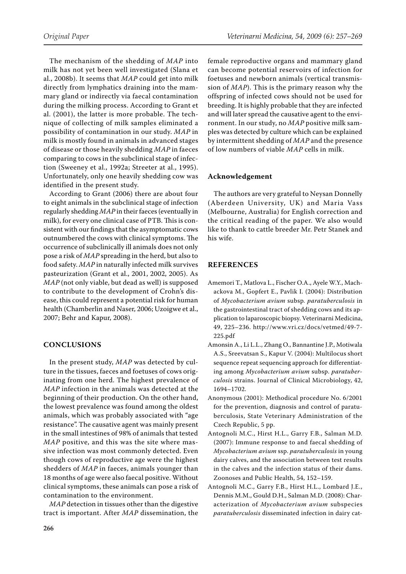The mechanism of the shedding of *MAP* into milk has not yet been well investigated (Slana et al., 2008b). It seems that *MAP* could get into milk directly from lymphatics draining into the mammary gland or indirectly via faecal contamination during the milking process. According to Grant et al. (2001), the latter is more probable. The technique of collecting of milk samples eliminated a possibility of contamination in our study. *MAP* in milk is mostly found in animals in advanced stages of disease or those heavily shedding *MAP* in faeces comparing to cows in the subclinical stage of infection (Sweeney et al., 1992a; Streeter at al., 1995). Unfortunately, only one heavily shedding cow was identified in the present study.

According to Grant (2006) there are about four to eight animals in the subclinical stage of infection regularly shedding *MAP* in their faeces (eventually in milk), for every one clinical case of PTB. This is consistent with our findings that the asymptomatic cows outnumbered the cows with clinical symptoms. The occurrence of subclinically ill animals does not only pose a risk of *MAP* spreading in the herd, but also to food safety. *MAP* in naturally infected milk survives pasteurization (Grant et al., 2001, 2002, 2005). As *MAP* (not only viable, but dead as well) is supposed to contribute to the development of Crohn's disease, this could represent a potential risk for human health (Chamberlin and Naser, 2006; Uzoigwe et al., 2007; Behr and Kapur, 2008).

## **CONCLUSIONS**

In the present study, *MAP* was detected by culture in the tissues, faeces and foetuses of cows originating from one herd. The highest prevalence of *MAP* infection in the animals was detected at the beginning of their production. On the other hand, the lowest prevalence was found among the oldest animals, which was probably associated with "age resistance". The causative agent was mainly present in the small intestines of 98% of animals that tested *MAP* positive, and this was the site where massive infection was most commonly detected. Even though cows of reproductive age were the highest shedders of *MAP* in faeces, animals younger than 18 months of age were also faecal positive. Without clinical symptoms, these animals can pose a risk of contamination to the environment.

*MAP* detection in tissues other than the digestive tract is important. After *MAP* dissemination, the female reproductive organs and mammary gland can become potential reservoirs of infection for foetuses and newborn animals (vertical transmission of *MAP*). This is the primary reason why the offspring of infected cows should not be used for breeding. It is highly probable that they are infected and will later spread the causative agent to the environment. In our study, no *MAP* positive milk samples was detected by culture which can be explained by intermittent shedding of *MAP* and the presence of low numbers of viable *MAP* cells in milk.

## **Acknowledgement**

The authors are very grateful to Neysan Donnelly (Aberdeen University, UK) and Maria Vass (Melbourne, Australia) for English correction and the critical reading of the paper. We also would like to thank to cattle breeder Mr. Petr Stanek and his wife.

# **REFERENCES**

- Amemori T., Matlova L., Fischer O.A., Ayele W.Y., Machackova M., Gopfert E., Pavlik I. (2004): Distribution of *Mycobacterium avium* subsp*. paratuberculosis* in the gastrointestinal tract of shedding cows and its application to laparoscopic biopsy. Veterinarni Medicina, 49, 225–236. http://www.vri.cz/docs/vetmed/49-7- 225.pdf
- Amonsin A., Li L.L., Zhang O., Bannantine J.P., Motiwala A.S., Sreevatsan S., Kapur V. (2004): Multilocus short sequence repeat sequencing approach for differentiating among *Mycobacterium avium* subsp. *paratuberculosis* strains. Journal of Clinical Microbiology, 42, 1694–1702.
- Anonymous (2001): Methodical procedure No. 6/2001 for the prevention, diagnosis and control of paratuberculosis, State Veterinary Administration of the Czech Republic, 5 pp.
- Antognoli M.C., Hirst H.L., Garry F.B., Salman M.D. (2007): Immune response to and faecal shedding of *Mycobacterium avium* ssp. *paratuberculosis* in young dairy calves, and the association between test results in the calves and the infection status of their dams. Zoonoses and Public Health, 54, 152–159.
- Antognoli M.C., Garry F.B., Hirst H.L., Lombard J.E., Dennis M.M., Gould D.H., Salman M.D. (2008): Characterization of *Mycobacterium avium* subspecies *paratuberculosis* disseminated infection in dairy cat-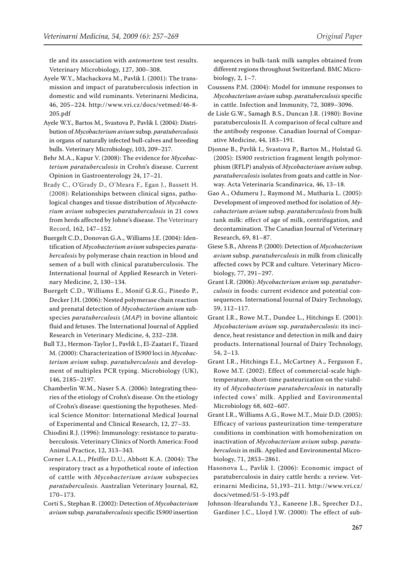tle and its association with *antemortem* test results. Veterinary Microbiology, 127, 300–308.

- Ayele W.Y., Machackova M., Pavlik I. (2001): The transmission and impact of paratuberculosis infection in domestic and wild ruminants. Veterinarni Medicina, 46, 205–224. http://www.vri.cz/docs/vetmed/46-8- 205.pdf
- Ayele W.Y., Bartos M., Svastova P., Pavlik I. (2004): Distribution of *Mycobacterium avium* subsp. *paratuberculosis*  in organs of naturally infected bull-calves and breeding bulls. Veterinary Microbiology, 103, 209–217.
- Behr M.A., Kapur V. (2008): The evidence for *Mycobacterium paratuberculosis* in Crohn's disease. Current Opinion in Gastroenterology 24, 17–21.
- Brady C., O'Grady D., O'Meara F., Egan J., Bassett H. (2008): Relationships between clinical signs, pathological changes and tissue distribution of *Mycobacterium avium* subspecies *paratuberculosis* in 21 cows from herds affected by Johne's disease. The Veterinary Record, 162, 147–152.
- Buergelt C.D., Donovan G.A., Williams J.E. (2004): Identification of *Mycobacterium avium* subspecies *paratuberculosis* by polymerase chain reaction in blood and semen of a bull with clinical paratuberculosis. The International Journal of Applied Research in Veterinary Medicine, 2, 130–134.
- Buergelt C.D., Williams E., Monif G.R.G., Pinedo P., Decker J.H. (2006): Nested polymerase chain reaction and prenatal detection of *Mycobacterium avium* subspecies *paratuberculosis* (*MAP*) in bovine allantoic fluid and fetuses. The International Journal of Applied Research in Veterinary Medicine, 4, 232–238.
- Bull T.J., Hermon-Taylor J., Pavlik I., El-Zaatari F., Tizard M. (2000): Characterization of IS*900* loci in *Mycobacterium avium* subsp. *paratuberculosis* and development of multiplex PCR typing. Microbiology (UK), 146, 2185–2197.
- Chamberlin W.M., Naser S.A. (2006): Integrating theories of the etiology of Crohn's disease. On the etiology of Crohn's disease: questioning the hypotheses. Medical Science Monitor: International Medical Journal of Experimental and Clinical Research, 12, 27–33.
- Chiodini R.J. (1996): Immunology: resistance to paratuberculosis. Veterinary Clinics of North America: Food Animal Practice, 12, 313–343.
- Corner L.A.L., Pfeiffer D.U., Abbott K.A. (2004): The respiratory tract as a hypothetical route of infection of cattle with *Mycobacterium avium* subspecies *paratuberculosis*. Australian Veterinary Journal, 82, 170–173.
- Corti S., Stephan R. (2002): Detection of *Mycobacterium avium* subsp. *paratuberculosis* specific IS*900* insertion

sequences in bulk-tank milk samples obtained from different regions throughout Switzerland. BMC Microbiology, 2, 1–7.

- Coussens P.M. (2004): Model for immune responses to *Mycobacterium avium* subsp. *paratuberculosis* specific in cattle. Infection and Immunity, 72, 3089–3096.
- de Lisle G.W., Samagh B.S., Duncan J.R. (1980): Bovine paratuberculosis II. A comparison of fecal culture and the antibody response. Canadian Journal of Comparative Medicine, 44, 183–191.
- Djonne B., Pavlik I., Svastova P., Bartos M., Holstad G. (2005): IS*900* restriction fragment length polymorphism (RFLP) analysis of *Mycobacterium avium* subsp. *paratuberculosis* isolates from goats and cattle in Norway. Acta Veterinaria Scandinavica, 46, 13–18.
- Gao A., Odumeru J., Raymond M., Mutharia L. (2005): Development of improved method for isolation of *Mycobacterium avium* subsp. *paratuberculosis* from bulk tank milk: effect of age of milk, centrifugation, and decontamination. The Canadian Journal of Veterinary Research, 69, 81–87.
- Giese S.B., Ahrens P. (2000): Detection of *Mycobacterium avium* subsp. *paratuberculosis* in milk from clinically affected cows by PCR and culture. Veterinary Microbiology, 77, 291–297.
- Grant I.R. (2006): *Mycobacterium avium* ssp. *paratuberculosis* in foods: current evidence and potential consequences. International Journal of Dairy Technology, 59, 112–117.
- Grant I.R., Rowe M.T., Dundee L., Hitchings E. (2001): *Mycobacterium avium* ssp. *paratuberculosis*: its incidence, heat resistance and detection in milk and dairy products. International Journal of Dairy Technology, 54, 2–13.
- Grant I.R., Hitchings E.I., McCartney A., Ferguson F., Rowe M.T. (2002). Effect of commercial-scale hightemperature, short-time pasteurization on the viability of *Mycobacterium paratuberculosis* in naturally infected cows' milk. Applied and Environmental Microbiology 68, 602–607.
- Grant I.R., Williams A.G., Rowe M.T., Muir D.D. (2005): Efficacy of various pasteurization time-temperature conditions in combination with homohenization on inactivation of *Mycobacterium avium* subsp. *paratuberculosis* in milk. Applied and Environmental Microbiology, 71, 2853–2861.
- Hasonova L., Pavlik I. (2006): Economic impact of paratuberculosis in dairy cattle herds: a review. Veterinarni Medicina, 51,193–211. http://www.vri.cz/ docs/vetmed/51-5-193.pdf
- Johnson-Ifearulundu Y.J., Kaneene J.B., Sprecher D.J., Gardiner J.C., Lloyd J.W. (2000): The effect of sub-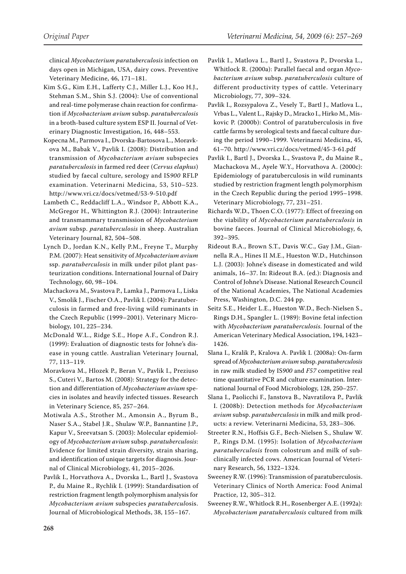clinical *Mycobacterium paratuberculosis* infection on days open in Michigan, USA, dairy cows. Preventive Veterinary Medicine, 46, 171–181.

- Kim S.G., Kim E.H., Lafferty C.J., Miller L.J., Koo H.J., Stehman S.M., Shin S.J. (2004): Use of conventional and real-time polymerase chain reaction for confirmation if *Mycobacterium avium* subsp. *paratuberculosis*  in a broth-based culture system ESP II. Journal of Veterinary Diagnostic Investigation, 16, 448–553.
- Kopecna M., Parmova I., Dvorska-Bartosova L., Moravkova M., Babak V., Pavlik I. (2008): Distribution and transmission of *Mycobacterium avium* subspecies *paratuberculosis* in farmed red deer (*Cervus elaphus*) studied by faecal culture, serology and IS*900* RFLP examination. Veterinarni Medicina, 53, 510–523. http://www.vri.cz/docs/vetmed/53-9-510.pdf
- Lambeth C., Reddacliff L.A., Windsor P., Abbott K.A., McGregor H., Whittington R.J. (2004): Intrauterine and transmammary transmission of *Mycobacterium avium* subsp. *paratuberculosis* in sheep. Australian Veterinary Journal, 82, 504–508.
- Lynch D., Jordan K.N., Kelly P.M., Freyne T., Murphy P.M. (2007): Heat sensitivity of *Mycobacterium avium* ssp. *paratuberculosis* in milk under pilot plant pasteurization conditions. International Journal of Dairy Technology, 60, 98–104.
- Machackova M., Svastova P., Lamka J., Parmova I., Liska V., Smolik J., Fischer O.A., Pavlik I. (2004): Paratuberculosis in farmed and free-living wild ruminants in the Czech Republic (1999–2001). Veterinary Microbiology, 101, 225–234.
- McDonald W.L., Ridge S.E., Hope A.F., Condron R.J. (1999): Evaluation of diagnostic tests for Johne's disease in young cattle. Australian Veterinary Journal, 77, 113–119.
- Moravkova M., Hlozek P., Beran V., Pavlik I., Preziuso S., Cuteri V., Bartos M. (2008): Strategy for the detection and differentiation of *Mycobacterium avium* species in isolates and heavily infected tissues. Research in Veterinary Science, 85, 257–264.
- Motiwala A.S., Strother M., Amonsin A., Byrum B., Naser S.A., Stabel J.R., Shulaw W.P., Bannantine J.P., Kapur V., Sreevatsan S. (2003): Molecular epidemiology of *Mycobacterium avium* subsp. *paratuberculosis*: Evidence for limited strain diversity, strain sharing, and identification of unique targets for diagnosis. Journal of Clinical Microbiology, 41, 2015–2026.
- Pavlik I., Horvathova A., Dvorska L., Bartl J., Svastova P., du Maine R., Rychlik I. (1999): Standardisation of restriction fragment length polymorphism analysis for *Mycobacterium avium* subspecies *paratubercul*osis. Journal of Microbiological Methods, 38, 155–167.
- Pavlik I., Matlova L., Bartl J., Svastova P., Dvorska L., Whitlock R. (2000a): Parallel faecal and organ *Mycobacterium avium* subsp. *paratuberculosis* culture of different productivity types of cattle. Veterinary Microbiology, 77, 309–324.
- Pavlik I., Rozsypalova Z., Vesely T., Bartl J., Matlova L., Vrbas L., Valent L., Rajsky D., Mracko I., Hirko M., Miskovic P. (2000b): Control of paratuberculosis in five cattle farms by serological tests and faecal culture during the period 1990–1999. Veterinarni Medicina, 45, 61–70. http://www.vri.cz/docs/vetmed/45-3-61.pdf
- Pavlik I., Bartl J., Dvorska L., Svastova P., du Maine R., Machackova M., Ayele W.Y., Horvathova A. (2000c): Epidemiology of paratuberculosis in wild ruminants studied by restriction fragment length polymorphism in the Czech Republic during the period 1995–1998. Veterinary Microbiology, 77, 231–251.
- Richards W.D., Thoen C.O. (1977): Effect of freezing on the viability of *Mycobacterium paratuberculosis* in bovine faeces. Journal of Clinical Microbiology, 6, 392–395.
- Rideout B.A., Brown S.T., Davis W.C., Gay J.M., Giannella R.A., Hines II M.E., Hueston W.D., Hutchinson L.J. (2003): Johne's disease in domesticated and wild animals, 16–37. In: Rideout B.A. (ed.): Diagnosis and Control of Johne's Disease. National Research Council of the National Academies, The National Academies Press, Washington, D.C. 244 pp.
- Seitz S.E., Heider L.E., Hueston W.D., Bech-Nielsen S., Rings D.H., Spangler L. (1989): Bovine fetal infection with *Mycobacterium paratuberculosis*. Journal of the American Veterinary Medical Association, 194, 1423– 1426.
- Slana I., Kralik P., Kralova A. Pavlik I. (2008a): On-farm spread of *Mycobacterium avium* subsp. *paratuberculosis*  in raw milk studied by IS*900* and *F57* competitive real time quantitative PCR and culture examination. International Journal of Food Microbiology, 128, 250–257.
- Slana I., Paolicchi F., Janstova B., Navratilova P., Pavlik I. (2008b): Detection methods for *Mycobacterium avium* subsp. *paratuberculosis* in milk and milk products: a review. Veterinarni Medicina, 53, 283–306.
- Streeter R.N., Hoffsis G.F., Bech-Nielsen S., Shulaw W. P., Rings D.M. (1995): Isolation of *Mycobacterium paratuberculosis* from colostrum and milk of subclinically infected cows. American Journal of Veterinary Research, 56, 1322–1324.
- Sweeney R.W. (1996): Transmission of paratuberculosis. Veterinary Clinics of North America: Food Animal Practice, 12, 305–312.
- Sweeney R.W., Whitlock R.H., Rosenberger A.E. (1992a): *Mycobacterium paratuberculosis* cultured from milk